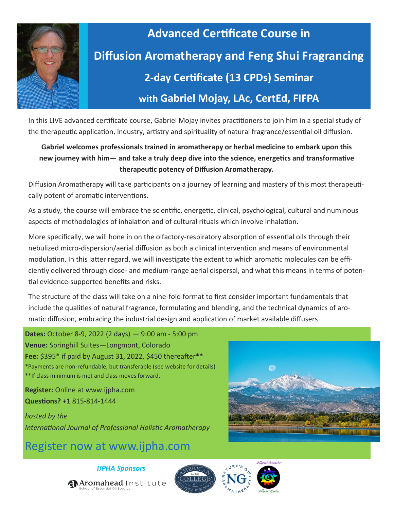

# **Advanced Certificate Course in Diffusion Aromatherapy and Feng Shui Fragrancing 2-day Certificate (13 CPDs) Seminar with Gabriel Mojay, LAc, CertEd, FIFPA**

In this LIVE advanced certificate course, Gabriel Mojay invites practitioners to join him in a special study of the therapeutic application, industry, artistry and spirituality of natural fragrance/essential oil diffusion.

### **Gabriel welcomes professionals trained in aromatherapy or herbal medicine to embark upon this new journey with him— and take a truly deep dive into the science, energetics and transformative therapeutic potency of Diffusion Aromatherapy.**

Diffusion Aromatherapy will take participants on a journey of learning and mastery of this most therapeutically potent of aromatic interventions.

As a study, the course will embrace the scientific, energetic, clinical, psychological, cultural and numinous aspects of methodologies of inhalation and of cultural rituals which involve inhalation.

More specifically, we will hone in on the olfactory-respiratory absorption of essential oils through their nebulized micro-dispersion/aerial diffusion as both a clinical intervention and means of environmental modulation. In this latter regard, we will investigate the extent to which aromatic molecules can be efficiently delivered through close- and medium-range aerial dispersal, and what this means in terms of potential evidence-supported benefits and risks.

The structure of the class will take on a nine-fold format to first consider important fundamentals that include the qualities of natural fragrance, formulating and blending, and the technical dynamics of aromatic diffusion, embracing the industrial design and application of market available diffusers

**Dates:** October 8-9, 2022 (2 days) — 9:00 am - 5:00 pm **Venue:** Springhill Suites—Longmont, Colorado **Fee:** \$395\* if paid by August 31, 2022, \$450 thereafter\*\* \*Payments are non-refundable, but transferable (see website for details) \*\*If class minimum is met and class moves forward.

**Register:** Online at www.ijpha.com **Questions?** +1 815-814-1444

*hosted by the International Journal of Professional Holistic Aromatherapy* 

### Register now at www.ijpha.com